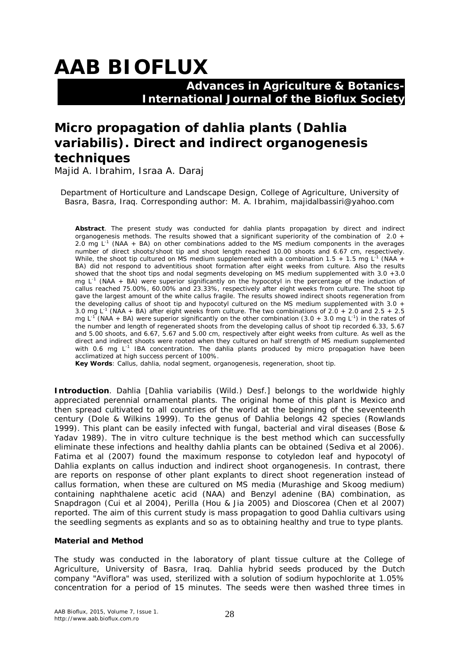# **AAB BIOFLUX**

### **Advances in Agriculture & Botanics- International Journal of the Bioflux Society**

## **Micro propagation of dahlia plants (***Dahlia variabilis***). Direct and indirect organogenesis techniques**

Majid A. Ibrahim, Israa A. Daraj

Department of Horticulture and Landscape Design, College of Agriculture, University of Basra, Basra, Iraq. Corresponding author: M. A. Ibrahim, majidalbassiri@yahoo.com

**Abstract**. The present study was conducted for dahlia plants propagation by direct and indirect organogenesis methods. The results showed that a significant superiority of the combination of 2.0 + 2.0 mg  $L^{-1}$  (NAA + BA) on other combinations added to the MS medium components in the averages number of direct shoots/shoot tip and shoot length reached 10.00 shoots and 6.67 cm, respectively. While, the shoot tip cultured on MS medium supplemented with a combination 1.5 + 1.5 mg L<sup>-1</sup> (NAA + BA) did not respond to adventitious shoot formation after eight weeks from culture. Also the results showed that the shoot tips and nodal segments developing on MS medium supplemented with 3.0 +3.0 mg  $L^{-1}$  (NAA + BA) were superior significantly on the hypocotyl in the percentage of the induction of callus reached 75.00%, 60.00% and 23.33%, respectively after eight weeks from culture. The shoot tip gave the largest amount of the white callus fragile. The results showed indirect shoots regeneration from the developing callus of shoot tip and hypocotyl cultured on the MS medium supplemented with  $3.0 +$ 3.0 mg L-1 (NAA + BA) after eight weeks from culture. The two combinations of 2.0 + 2.0 and 2.5 + 2.5 mg L<sup>-1</sup> (NAA + BA) were superior significantly on the other combination (3.0 + 3.0 mg L<sup>-1</sup>) in the rates of the number and length of regenerated shoots from the developing callus of shoot tip recorded 6.33, 5.67 and 5.00 shoots, and 6.67, 5.67 and 5.00 cm, respectively after eight weeks from culture. As well as the direct and indirect shoots were rooted when they cultured on half strength of MS medium supplemented with 0.6 mg  $L^{-1}$  IBA concentration. The dahlia plants produced by micro propagation have been acclimatized at high success percent of 100%.

**Key Words**: Callus, dahlia, nodal segment, organogenesis, regeneration, shoot tip.

**Introduction**. Dahlia [*Dahlia variabilis* (Wild.) Desf.] belongs to the worldwide highly appreciated perennial ornamental plants. The original home of this plant is Mexico and then spread cultivated to all countries of the world at the beginning of the seventeenth century (Dole & Wilkins 1999). To the genus of *Dahlia* belongs 42 species (Rowlands 1999). This plant can be easily infected with fungal, bacterial and viral diseases (Bose & Yadav 1989). The *in vitro* culture technique is the best method which can successfully eliminate these infections and healthy dahlia plants can be obtained (Sediva et al 2006). Fatima et al (2007) found the maximum response to cotyledon leaf and hypocotyl of Dahlia explants on callus induction and indirect shoot organogenesis. In contrast, there are reports on response of other plant explants to direct shoot regeneration instead of callus formation, when these are cultured on MS media (Murashige and Skoog medium) containing naphthalene acetic acid (NAA) and Benzyl adenine (BA) combination, as Snapdragon (Cui et al 2004), Perilla (Hou & Jia 2005) and Dioscorea (Chen et al 2007) reported. The aim of this current study is mass propagation to good Dahlia cultivars using the seedling segments as explants and so as to obtaining healthy and true to type plants.

#### **Material and Method**

The study was conducted in the laboratory of plant tissue culture at the College of Agriculture, University of Basra, Iraq. Dahlia hybrid seeds produced by the Dutch company "Aviflora" was used, sterilized with a solution of sodium hypochlorite at 1.05% concentration for a period of 15 minutes. The seeds were then washed three times in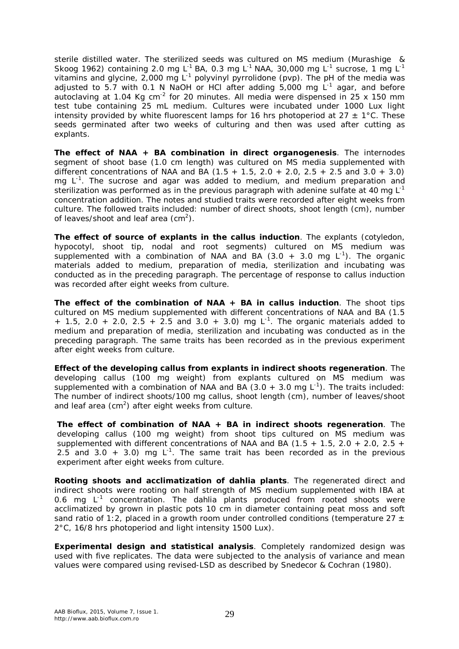sterile distilled water. The sterilized seeds was cultured on MS medium (Murashige & Skoog 1962) containing 2.0 mg L<sup>-1</sup> BA, 0.3 mg L<sup>-1</sup> NAA, 30,000 mg L<sup>-1</sup> sucrose, 1 mg L<sup>-1</sup> vitamins and glycine, 2,000 mg  $L^{-1}$  polyvinyl pyrrolidone (pvp). The pH of the media was adjusted to 5.7 with 0.1 N NaOH or HCI after adding 5,000 mg  $L^{-1}$  agar, and before autoclaving at 1.04 Kg cm<sup>-2</sup> for 20 minutes. All media were dispensed in 25 x 150 mm test tube containing 25 mL medium. Cultures were incubated under 1000 Lux light intensity provided by white fluorescent lamps for 16 hrs photoperiod at  $27 \pm 1^{\circ}$ C. These seeds germinated after two weeks of culturing and then was used after cutting as explants.

*The effect of NAA + BA combination in direct organogenesis*. The internodes segment of shoot base (1.0 cm length) was cultured on MS media supplemented with different concentrations of NAA and BA  $(1.5 + 1.5, 2.0 + 2.0, 2.5 + 2.5, 2.0 + 3.0)$ mg  $L^{-1}$ . The sucrose and agar was added to medium, and medium preparation and sterilization was performed as in the previous paragraph with adenine sulfate at 40 mg  $L^1$ concentration addition. The notes and studied traits were recorded after eight weeks from culture. The followed traits included: number of direct shoots, shoot length (cm), number of leaves/shoot and leaf area (cm<sup>2</sup>).

*The effect of source of explants in the callus induction*. The explants (cotyledon, hypocotyl, shoot tip, nodal and root segments) cultured on MS medium was supplemented with a combination of NAA and BA  $(3.0 + 3.0$  mg  $L^{-1})$ . The organic materials added to medium, preparation of media, sterilization and incubating was conducted as in the preceding paragraph. The percentage of response to callus induction was recorded after eight weeks from culture.

*The effect of the combination of NAA + BA in callus induction*. The shoot tips cultured on MS medium supplemented with different concentrations of NAA and BA (1.5 + 1.5, 2.0 + 2.0, 2.5 + 2.5 and 3.0 + 3.0) mg L<sup>-1</sup>. The organic materials added to medium and preparation of media, sterilization and incubating was conducted as in the preceding paragraph. The same traits has been recorded as in the previous experiment after eight weeks from culture.

*Effect of the developing callus from explants in indirect shoots regeneration*. The developing callus (100 mg weight) from explants cultured on MS medium was supplemented with a combination of NAA and BA (3.0  $+$  3.0 mg L<sup>-1</sup>). The traits included: The number of indirect shoots/100 mg callus, shoot length (cm), number of leaves/shoot and leaf area (cm<sup>2</sup>) after eight weeks from culture.

*The effect of combination of NAA + BA in indirect shoots regeneration*. The developing callus (100 mg weight) from shoot tips cultured on MS medium was supplemented with different concentrations of NAA and BA  $(1.5 + 1.5, 2.0 + 2.0, 2.5 +$ 2.5 and 3.0  $+$  3.0) mg L<sup>-1</sup>. The same trait has been recorded as in the previous experiment after eight weeks from culture.

*Rooting shoots and acclimatization of dahlia plants*. The regenerated direct and indirect shoots were rooting on half strength of MS medium supplemented with IBA at 0.6 mg  $L^{-1}$  concentration. The dahlia plants produced from rooted shoots were acclimatized by grown in plastic pots 10 cm in diameter containing peat moss and soft sand ratio of 1:2, placed in a growth room under controlled conditions (temperature 27  $\pm$ 2°C, 16/8 hrs photoperiod and light intensity 1500 Lux).

*Experimental design and statistical analysis*. Completely randomized design was used with five replicates. The data were subjected to the analysis of variance and mean values were compared using revised-LSD as described by Snedecor & Cochran (1980).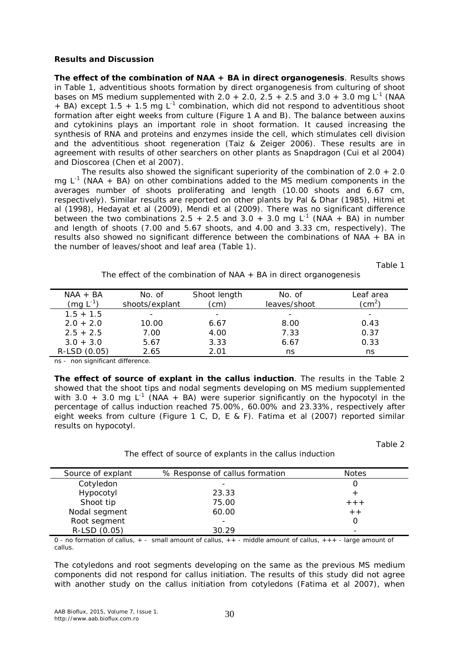#### **Results and Discussion**

*The effect of the combination of NAA + BA in direct organogenesis*. Results shows in Table 1, adventitious shoots formation by direct organogenesis from culturing of shoot bases on MS medium supplemented with 2.0 + 2.0, 2.5 + 2.5 and 3.0 + 3.0 mg L<sup>-1</sup> (NAA  $+$  BA) except 1.5  $+$  1.5 mg L<sup>-1</sup> combination, which did not respond to adventitious shoot formation after eight weeks from culture (Figure 1 A and B). The balance between auxins and cytokinins plays an important role in shoot formation. It caused increasing the synthesis of RNA and proteins and enzymes inside the cell, which stimulates cell division and the adventitious shoot regeneration (Taiz & Zeiger 2006). These results are in agreement with results of other searchers on other plants as Snapdragon (Cui et al 2004) and Dioscorea (Chen et al 2007).

The results also showed the significant superiority of the combination of  $2.0 + 2.0$ mg  $L^{-1}$  (NAA + BA) on other combinations added to the MS medium components in the averages number of shoots proliferating and length (10.00 shoots and 6.67 cm, respectively). Similar results are reported on other plants by Pal & Dhar (1985), Hitmi et al (1998), Hedayat et al (2009), Mendi et al (2009). There was no significant difference between the two combinations 2.5 + 2.5 and 3.0 + 3.0 mg  $L^{-1}$  (NAA + BA) in number and length of shoots (7.00 and 5.67 shoots, and 4.00 and 3.33 cm, respectively). The results also showed no significant difference between the combinations of NAA + BA in the number of leaves/shoot and leaf area (Table 1).

Table 1

The effect of the combination of NAA + BA in direct organogenesis

| $NAA + BA$<br>$(mg L^{-1})$ | No. of<br>shoots/explant | Shoot length<br>(cm      | No. of<br>leaves/shoot | Leaf area<br>$\zeta$     |
|-----------------------------|--------------------------|--------------------------|------------------------|--------------------------|
| $1.5 + 1.5$                 |                          | $\overline{\phantom{0}}$ |                        | $\overline{\phantom{a}}$ |
| $2.0 + 2.0$                 | 10.00                    | 6.67                     | 8.00                   | 0.43                     |
| $2.5 + 2.5$                 | 7.00                     | 4.00                     | 7.33                   | 0.37                     |
| $3.0 + 3.0$                 | 5.67                     | 3.33                     | 6.67                   | 0.33                     |
| R-LSD (0.05)                | 2.65                     | 2 N 1                    | ns                     | ns                       |

ns - non significant difference.

*The effect of source of explant in the callus induction*. The results in the Table 2 showed that the shoot tips and nodal segments developing on MS medium supplemented with 3.0 + 3.0 mg L<sup>-1</sup> (NAA + BA) were superior significantly on the hypocotyl in the percentage of callus induction reached 75.00%, 60.00% and 23.33%, respectively after eight weeks from culture (Figure 1 C, D, E & F). Fatima et al (2007) reported similar results on hypocotyl.

Table 2

The effect of source of explants in the callus induction

| Source of explant | % Response of callus formation | <b>Notes</b> |
|-------------------|--------------------------------|--------------|
| Cotyledon         |                                |              |
| Hypocotyl         | 23.33                          |              |
| Shoot tip         | 75.00                          | $++$         |
| Nodal segment     | 60.00                          | $+ +$        |
| Root segment      |                                |              |
| R-LSD (0.05)      | 30.29                          |              |

0 - no formation of callus, + - small amount of callus, ++ - middle amount of callus, +++ - large amount of callus.

The cotyledons and root segments developing on the same as the previous MS medium components did not respond for callus initiation. The results of this study did not agree with another study on the callus initiation from cotyledons (Fatima et al 2007), when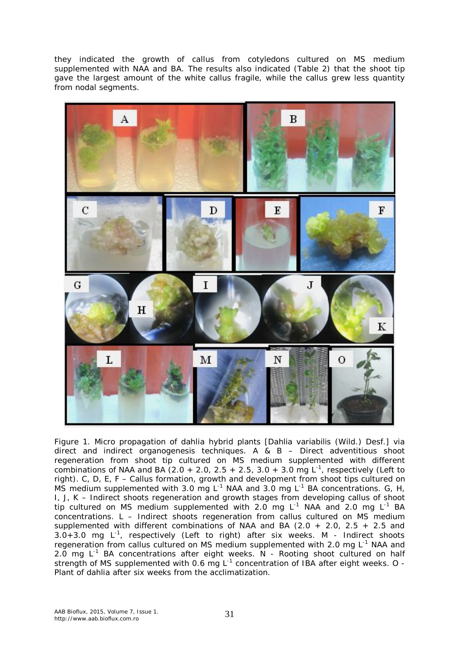they indicated the growth of callus from cotyledons cultured on MS medium supplemented with NAA and BA. The results also indicated (Table 2) that the shoot tip gave the largest amount of the white callus fragile, while the callus grew less quantity from nodal segments.



Figure 1. Micro propagation of dahlia hybrid plants [*Dahlia variabilis* (Wild.) Desf.] via direct and indirect organogenesis techniques. A & B – Direct adventitious shoot regeneration from shoot tip cultured on MS medium supplemented with different combinations of NAA and BA (2.0 + 2.0, 2.5 + 2.5, 3.0 + 3.0 mg  $L^{-1}$ , respectively (Left to right). C, D, E, F – Callus formation, growth and development from shoot tips cultured on MS medium supplemented with 3.0 mg  $L^{-1}$  NAA and 3.0 mg  $L^{-1}$  BA concentrations. G, H, I, J, K – Indirect shoots regeneration and growth stages from developing callus of shoot tip cultured on MS medium supplemented with 2.0 mg  $L^{-1}$  NAA and 2.0 mg  $L^{-1}$  BA concentrations. L – Indirect shoots regeneration from callus cultured on MS medium supplemented with different combinations of NAA and BA (2.0 + 2.0, 2.5 + 2.5 and  $3.0+3.0$  mg  $L^{-1}$ , respectively (Left to right) after six weeks. M - Indirect shoots regeneration from callus cultured on MS medium supplemented with 2.0 mg  $L^{-1}$  NAA and 2.0 mg  $L^{-1}$  BA concentrations after eight weeks. N - Rooting shoot cultured on half strength of MS supplemented with 0.6 mg L<sup>-1</sup> concentration of IBA after eight weeks. O -Plant of dahlia after six weeks from the acclimatization.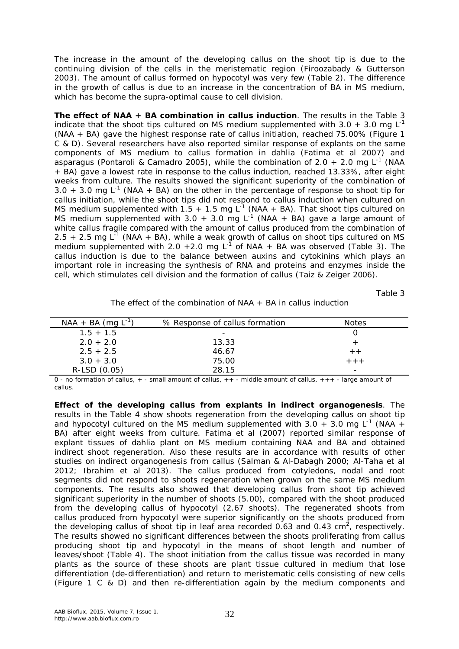The increase in the amount of the developing callus on the shoot tip is due to the continuing division of the cells in the meristematic region (Firoozabady & Gutterson 2003). The amount of callus formed on hypocotyl was very few (Table 2). The difference in the growth of callus is due to an increase in the concentration of BA in MS medium, which has become the supra-optimal cause to cell division.

*The effect of NAA + BA combination in callus induction*. The results in the Table 3 indicate that the shoot tips cultured on MS medium supplemented with 3.0 + 3.0 mg L<sup>-1</sup> (NAA + BA) gave the highest response rate of callus initiation, reached 75.00% (Figure 1 C & D). Several researchers have also reported similar response of explants on the same components of MS medium to callus formation in dahlia (Fatima et al 2007) and asparagus (Pontaroli & Camadro 2005), while the combination of 2.0 + 2.0 mg L<sup>-1</sup> (NAA + BA) gave a lowest rate in response to the callus induction, reached 13.33%, after eight weeks from culture. The results showed the significant superiority of the combination of 3.0 + 3.0 mg  $L^{-1}$  (NAA + BA) on the other in the percentage of response to shoot tip for callus initiation, while the shoot tips did not respond to callus induction when cultured on MS medium supplemented with 1.5 + 1.5 mg L<sup>-1</sup> (NAA + BA). That shoot tips cultured on MS medium supplemented with 3.0 + 3.0 mg L<sup>-1</sup> (NAA + BA) gave a large amount of white callus fragile compared with the amount of callus produced from the combination of 2.5  $+$  2.5 mg L<sup>-1</sup> (NAA  $+$  BA), while a weak growth of callus on shoot tips cultured on MS medium supplemented with 2.0 + 2.0 mg  $L^{-1}$  of NAA + BA was observed (Table 3). The callus induction is due to the balance between auxins and cytokinins which plays an important role in increasing the synthesis of RNA and proteins and enzymes inside the cell, which stimulates cell division and the formation of callus (Taiz & Zeiger 2006).

Table 3

| The effect of the combination of $NAA + BA$ in callus induction |  |
|-----------------------------------------------------------------|--|
|                                                                 |  |

| $NAA + BA$ (mg L <sup>-1</sup> ) | % Response of callus formation | Notes   |
|----------------------------------|--------------------------------|---------|
| $1.5 + 1.5$                      | $\overline{\phantom{0}}$       |         |
| $2.0 + 2.0$                      | 13.33                          |         |
| $2.5 + 2.5$                      | 46.67                          |         |
| $3.0 + 3.0$                      | 75.00                          | $+ + +$ |
| R-LSD (0.05)                     | 28 15                          | -       |

0 - no formation of callus, + - small amount of callus, ++ - middle amount of callus, +++ - large amount of callus.

*Effect of the developing callus from explants in indirect organogenesis*. The results in the Table 4 show shoots regeneration from the developing callus on shoot tip and hypocotyl cultured on the MS medium supplemented with 3.0 + 3.0 mg L<sup>-1</sup> (NAA + BA) after eight weeks from culture. Fatima et al (2007) reported similar response of explant tissues of dahlia plant on MS medium containing NAA and BA and obtained indirect shoot regeneration. Also these results are in accordance with results of other studies on indirect organogenesis from callus (Salman & Al-Dabagh 2000; Al-Taha et al 2012; Ibrahim et al 2013). The callus produced from cotyledons, nodal and root segments did not respond to shoots regeneration when grown on the same MS medium components. The results also showed that developing callus from shoot tip achieved significant superiority in the number of shoots (5.00), compared with the shoot produced from the developing callus of hypocotyl (2.67 shoots). The regenerated shoots from callus produced from hypocotyl were superior significantly on the shoots produced from the developing callus of shoot tip in leaf area recorded 0.63 and 0.43 cm<sup>2</sup>, respectively. The results showed no significant differences between the shoots proliferating from callus producing shoot tip and hypocotyl in the means of shoot length and number of leaves/shoot (Table 4). The shoot initiation from the callus tissue was recorded in many plants as the source of these shoots are plant tissue cultured in medium that lose differentiation (de-differentiation) and return to meristematic cells consisting of new cells (Figure 1 C & D) and then re-differentiation again by the medium components and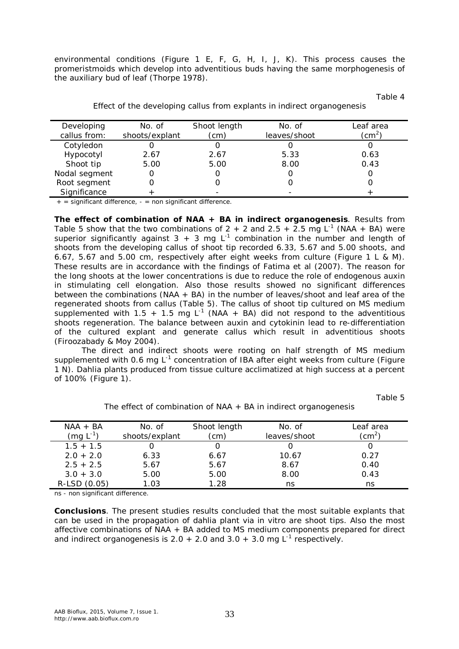environmental conditions (Figure 1 E, F, G, H, I, J, K). This process causes the promeristmoids which develop into adventitious buds having the same morphogenesis of the auxiliary bud of leaf (Thorpe 1978).

Table 4

| Developing    | No. of         | Shoot length | No. of       | Leaf area        |
|---------------|----------------|--------------|--------------|------------------|
| callus from:  | shoots/explant | (cm)         | leaves/shoot | (cm $^2^{\circ}$ |
| Cotyledon     |                |              |              |                  |
| Hypocotyl     | 2.67           | 2.67         | 5.33         | 0.63             |
| Shoot tip     | 5.00           | 5.00         | 8.00         | 0.43             |
| Nodal segment |                |              |              |                  |
| Root segment  |                |              |              |                  |
| Significance  |                |              |              |                  |

Effect of the developing callus from explants in indirect organogenesis

 $+$  = significant difference,  $-$  = non significant difference.

*The effect of combination of NAA + BA in indirect organogenesis*. Results from Table 5 show that the two combinations of 2 + 2 and 2.5 + 2.5 mg L<sup>-1</sup> (NAA + BA) were superior significantly against  $3 + 3$  mg L<sup>-1</sup> combination in the number and length of shoots from the developing callus of shoot tip recorded 6.33, 5.67 and 5.00 shoots, and 6.67, 5.67 and 5.00 cm, respectively after eight weeks from culture (Figure 1 L & M). These results are in accordance with the findings of Fatima et al (2007). The reason for the long shoots at the lower concentrations is due to reduce the role of endogenous auxin in stimulating cell elongation. Also those results showed no significant differences between the combinations (NAA + BA) in the number of leaves/shoot and leaf area of the regenerated shoots from callus (Table 5). The callus of shoot tip cultured on MS medium supplemented with 1.5 + 1.5 mg  $L^{-1}$  (NAA + BA) did not respond to the adventitious shoots regeneration. The balance between auxin and cytokinin lead to re-differentiation of the cultured explant and generate callus which result in adventitious shoots (Firoozabady & Moy 2004).

The direct and indirect shoots were rooting on half strength of MS medium supplemented with 0.6 mg  $L^{-1}$  concentration of IBA after eight weeks from culture (Figure 1 N). Dahlia plants produced from tissue culture acclimatized at high success at a percent of 100% (Figure 1).

Table 5

| $NAA + BA$<br>(mg $L^{-1}$ ) | No. of<br>shoots/explant | Shoot length<br>(cm) | No. of<br>leaves/shoot | Leaf area<br>$\zeta$ cm $^2$ |
|------------------------------|--------------------------|----------------------|------------------------|------------------------------|
| $1.5 + 1.5$                  |                          |                      |                        |                              |
| $2.0 + 2.0$                  | 6.33                     | 6.67                 | 10.67                  | 0.27                         |
| $2.5 + 2.5$                  | 5.67                     | 5.67                 | 8.67                   | 0.40                         |
| $3.0 + 3.0$                  | 5.00                     | 5.00                 | 8.00                   | 0.43                         |
| R-LSD (0.05)                 | 1.03                     | 1.28                 | ns                     | ns                           |

The effect of combination of  $NAA + BA$  in indirect organogenesis

ns - non significant difference.

**Conclusions**. The present studies results concluded that the most suitable explants that can be used in the propagation of dahlia plant via *in vitro* are shoot tips. Also the most affective combinations of NAA + BA added to MS medium components prepared for direct and indirect organogenesis is 2.0  $+$  2.0 and 3.0  $+$  3.0 mg L<sup>-1</sup> respectively.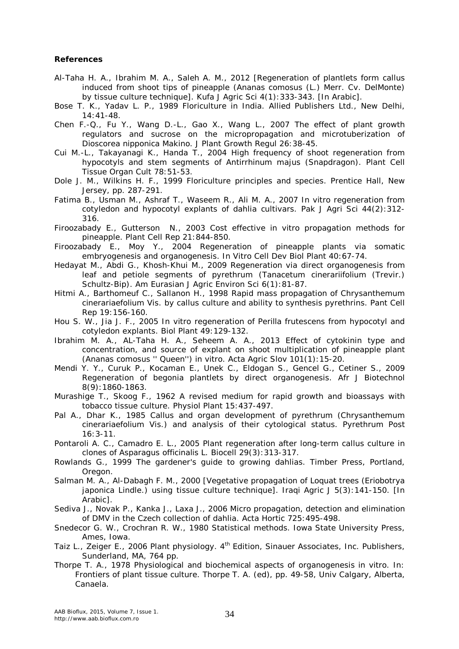#### **References**

- Al-Taha H. A., Ibrahim M. A., Saleh A. M., 2012 [Regeneration of plantlets form callus induced from shoot tips of pineapple (*Ananas comosus* (L.) Merr. Cv. DelMonte) by tissue culture technique]. Kufa J Agric Sci 4(1):333-343. [In Arabic].
- Bose T. K., Yadav L. P., 1989 Floriculture in India. Allied Publishers Ltd., New Delhi, 14:41-48.
- Chen F.-Q., Fu Y., Wang D.-L., Gao X., Wang L., 2007 The effect of plant growth regulators and sucrose on the micropropagation and microtuberization of *Dioscorea nipponica* Makino. J Plant Growth Regul 26:38-45.
- Cui M.-L., Takayanagi K., Handa T., 2004 High frequency of shoot regeneration from hypocotyls and stem segments of *Antirrhinum majus* (Snapdragon). Plant Cell Tissue Organ Cult 78:51-53.
- Dole J. M., Wilkins H. F., 1999 Floriculture principles and species. Prentice Hall, New Jersey, pp. 287-291.
- Fatima B., Usman M., Ashraf T., Waseem R., Ali M. A., 2007 *In vitro* regeneration from cotyledon and hypocotyl explants of dahlia cultivars. Pak J Agri Sci 44(2):312- 316.
- Firoozabady E., Gutterson N., 2003 Cost effective *in vitro* propagation methods for pineapple. Plant Cell Rep 21:844-850.
- Firoozabady E., Moy Y., 2004 Regeneration of pineapple plants via somatic embryogenesis and organogenesis. In Vitro Cell Dev Biol Plant 40:67-74.
- Hedayat M., Abdi G., Khosh-Khui M., 2009 Regeneration via direct organogenesis from leaf and petiole segments of pyrethrum (*Tanacetum cinerariifolium* (Trevir.) Schultz-Bip). Am Eurasian J Agric Environ Sci 6(1):81-87.
- Hitmi A., Barthomeuf C., Sallanon H., 1998 Rapid mass propagation of *Chrysanthemum cinerariaefolium* Vis. by callus culture and ability to synthesis pyrethrins. Pant Cell Rep 19:156-160.
- Hou S. W., Jia J. F., 2005 *In vitro* regeneration of *Perilla frutescens* from hypocotyl and cotyledon explants. Biol Plant 49:129-132.
- Ibrahim M. A., AL-Taha H. A., Seheem A. A., 2013 Effect of cytokinin type and concentration, and source of explant on shoot multiplication of pineapple plant (*Ananas comosus* '' Queen'') *in vitro*. Acta Agric Slov 101(1):15-20.
- Mendi Y. Y., Curuk P., Kocaman E., Unek C., Eldogan S., Gencel G., Cetiner S., 2009 Regeneration of begonia plantlets by direct organogenesis. Afr J Biotechnol 8(9):1860-1863.
- Murashige T., Skoog F., 1962 A revised medium for rapid growth and bioassays with tobacco tissue culture. Physiol Plant 15:437-497.
- Pal A., Dhar K., 1985 Callus and organ development of pyrethrum (*Chrysanthemum cinerariaefolium* Vis.) and analysis of their cytological status. Pyrethrum Post 16:3-11.
- Pontaroli A. C., Camadro E. L., 2005 Plant regeneration after long-term callus culture in clones of *Asparagus officinalis* L. Biocell 29(3):313-317.
- Rowlands G., 1999 The gardener's guide to growing dahlias. Timber Press, Portland, Oregon.
- Salman M. A., Al-Dabagh F. M., 2000 [Vegetative propagation of Loquat trees (*Eriobotrya japonica* Lindle.) using tissue culture technique]. Iraqi Agric J 5(3):141-150. [In Arabic].
- Sediva J., Novak P., Kanka J., Laxa J., 2006 Micro propagation, detection and elimination of DMV in the Czech collection of dahlia. Acta Hortic 725:495-498.
- Snedecor G. W., Crochran R. W., 1980 Statistical methods. Iowa State University Press, Ames, Iowa.
- Taiz L., Zeiger E., 2006 Plant physiology. 4<sup>th</sup> Edition, Sinauer Associates, Inc. Publishers, Sunderland, MA, 764 pp.
- Thorpe T. A., 1978 Physiological and biochemical aspects of organogenesis *in vitro*. In: Frontiers of plant tissue culture. Thorpe T. A. (ed), pp. 49-58, Univ Calgary, Alberta, Canaela.